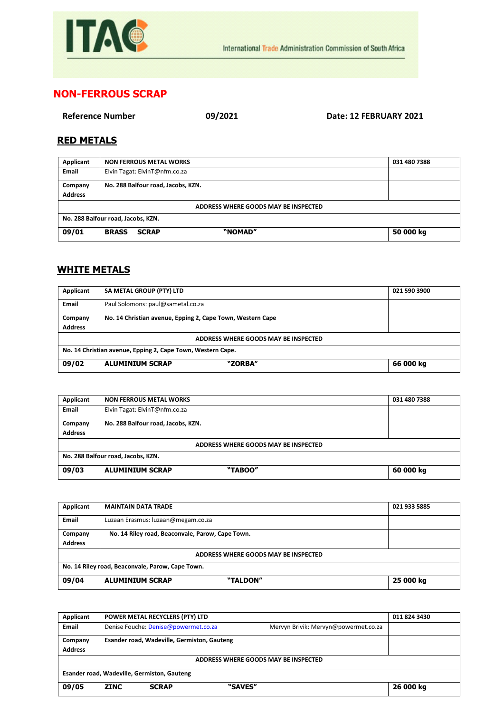

## **NON-FERROUS SCRAP**

**Reference Number 09/2021 Date: 12 FEBRUARY 2021**

## **RED METALS**

| Applicant                            | <b>NON FERROUS METAL WORKS</b>          | 031 480 7388 |  |  |  |
|--------------------------------------|-----------------------------------------|--------------|--|--|--|
| Email                                | Elvin Tagat: ElvinT@nfm.co.za           |              |  |  |  |
| Company                              | No. 288 Balfour road, Jacobs, KZN.      |              |  |  |  |
| <b>Address</b>                       |                                         |              |  |  |  |
| ADDRESS WHERE GOODS MAY BE INSPECTED |                                         |              |  |  |  |
| No. 288 Balfour road, Jacobs, KZN.   |                                         |              |  |  |  |
| 09/01                                | "NOMAD"<br><b>BRASS</b><br><b>SCRAP</b> | 50 000 kg    |  |  |  |

## **WHITE METALS**

| Applicant                                                   | SA METAL GROUP (PTY) LTD                                   | 021 590 3900 |  |  |
|-------------------------------------------------------------|------------------------------------------------------------|--------------|--|--|
| <b>Email</b>                                                | Paul Solomons: paul@sametal.co.za                          |              |  |  |
| Company                                                     | No. 14 Christian avenue, Epping 2, Cape Town, Western Cape |              |  |  |
| <b>Address</b>                                              |                                                            |              |  |  |
| ADDRESS WHERE GOODS MAY BE INSPECTED                        |                                                            |              |  |  |
| No. 14 Christian avenue, Epping 2, Cape Town, Western Cape. |                                                            |              |  |  |
| 09/02                                                       | "ZORBA"<br><b>ALUMINIUM SCRAP</b>                          | 66 000 kg    |  |  |

| Applicant                            | <b>NON FERROUS METAL WORKS</b>     | 031 480 7388 |  |  |
|--------------------------------------|------------------------------------|--------------|--|--|
| Email                                | Elvin Tagat: ElvinT@nfm.co.za      |              |  |  |
| Company                              | No. 288 Balfour road, Jacobs, KZN. |              |  |  |
| <b>Address</b>                       |                                    |              |  |  |
| ADDRESS WHERE GOODS MAY BE INSPECTED |                                    |              |  |  |
| No. 288 Balfour road, Jacobs, KZN.   |                                    |              |  |  |
| 09/03                                | <b>ALUMINIUM SCRAP</b><br>"TABOO"  | 60 000 kg    |  |  |

| Applicant                                        | <b>MAINTAIN DATA TRADE</b>                       | 021 933 5885 |  |
|--------------------------------------------------|--------------------------------------------------|--------------|--|
| Email                                            | Luzaan Erasmus: luzaan@megam.co.za               |              |  |
| Company                                          | No. 14 Riley road, Beaconvale, Parow, Cape Town. |              |  |
| <b>Address</b>                                   |                                                  |              |  |
| ADDRESS WHERE GOODS MAY BE INSPECTED             |                                                  |              |  |
| No. 14 Riley road, Beaconvale, Parow, Cape Town. |                                                  |              |  |
| 09/04                                            | <b>ALUMINIUM SCRAP</b><br>"TALDON"               | 25 000 kg    |  |

| Applicant                                   | POWER METAL RECYCLERS (PTY) LTD             |         |                                      | 011 824 3430 |  |
|---------------------------------------------|---------------------------------------------|---------|--------------------------------------|--------------|--|
| <b>Email</b>                                | Denise Fouche: Denise@powermet.co.za        |         | Mervyn Brivik: Mervyn@powermet.co.za |              |  |
| Company<br><b>Address</b>                   | Esander road, Wadeville, Germiston, Gauteng |         |                                      |              |  |
| ADDRESS WHERE GOODS MAY BE INSPECTED        |                                             |         |                                      |              |  |
| Esander road, Wadeville, Germiston, Gauteng |                                             |         |                                      |              |  |
| 09/05                                       | <b>ZINC</b><br><b>SCRAP</b>                 | "SAVES" |                                      | 26 000 kg    |  |